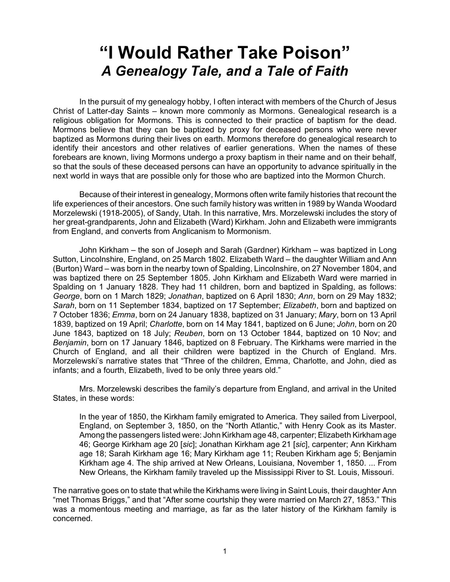## **"I Would Rather Take Poison"** *A Genealogy Tale, and a Tale of Faith*

In the pursuit of my genealogy hobby, I often interact with members of the Church of Jesus Christ of Latter-day Saints – known more commonly as Mormons. Genealogical research is a religious obligation for Mormons. This is connected to their practice of baptism for the dead. Mormons believe that they can be baptized by proxy for deceased persons who were never baptized as Mormons during their lives on earth. Mormons therefore do genealogical research to identify their ancestors and other relatives of earlier generations. When the names of these forebears are known, living Mormons undergo a proxy baptism in their name and on their behalf, so that the souls of these deceased persons can have an opportunity to advance spiritually in the next world in ways that are possible only for those who are baptized into the Mormon Church.

Because of their interest in genealogy, Mormons often write family histories that recount the life experiences of their ancestors. One such family history was written in 1989 by Wanda Woodard Morzelewski (1918-2005), of Sandy, Utah. In this narrative, Mrs. Morzelewski includes the story of her great-grandparents, John and Elizabeth (Ward) Kirkham. John and Elizabeth were immigrants from England, and converts from Anglicanism to Mormonism.

John Kirkham – the son of Joseph and Sarah (Gardner) Kirkham – was baptized in Long Sutton, Lincolnshire, England, on 25 March 1802. Elizabeth Ward – the daughter William and Ann (Burton) Ward – was born in the nearby town of Spalding, Lincolnshire, on 27 November 1804, and was baptized there on 25 September 1805. John Kirkham and Elizabeth Ward were married in Spalding on 1 January 1828. They had 11 children, born and baptized in Spalding, as follows: *George*, born on 1 March 1829; *Jonathan*, baptized on 6 April 1830; *Ann*, born on 29 May 1832; *Sarah*, born on 11 September 1834, baptized on 17 September; *Elizabeth*, born and baptized on 7 October 1836; *Emma*, born on 24 January 1838, baptized on 31 January; *Mary*, born on 13 April 1839, baptized on 19 April; *Charlotte*, born on 14 May 1841, baptized on 6 June; *John*, born on 20 June 1843, baptized on 18 July; *Reuben*, born on 13 October 1844, baptized on 10 Nov; and *Benjamin*, born on 17 January 1846, baptized on 8 February. The Kirkhams were married in the Church of England, and all their children were baptized in the Church of England. Mrs. Morzelewski's narrative states that "Three of the children, Emma, Charlotte, and John, died as infants; and a fourth, Elizabeth, lived to be only three years old."

Mrs. Morzelewski describes the family's departure from England, and arrival in the United States, in these words:

In the year of 1850, the Kirkham family emigrated to America. They sailed from Liverpool, England, on September 3, 1850, on the "North Atlantic," with Henry Cook as its Master. Among the passengers listed were: John Kirkham age 48, carpenter; Elizabeth Kirkham age 46; George Kirkham age 20 [*sic*]; Jonathan Kirkham age 21 [*sic*], carpenter; Ann Kirkham age 18; Sarah Kirkham age 16; Mary Kirkham age 11; Reuben Kirkham age 5; Benjamin Kirkham age 4. The ship arrived at New Orleans, Louisiana, November 1, 1850. ... From New Orleans, the Kirkham family traveled up the Mississippi River to St. Louis, Missouri.

The narrative goes on to state that while the Kirkhams were living in Saint Louis, their daughter Ann "met Thomas Briggs," and that "After some courtship they were married on March 27, 1853." This was a momentous meeting and marriage, as far as the later history of the Kirkham family is concerned.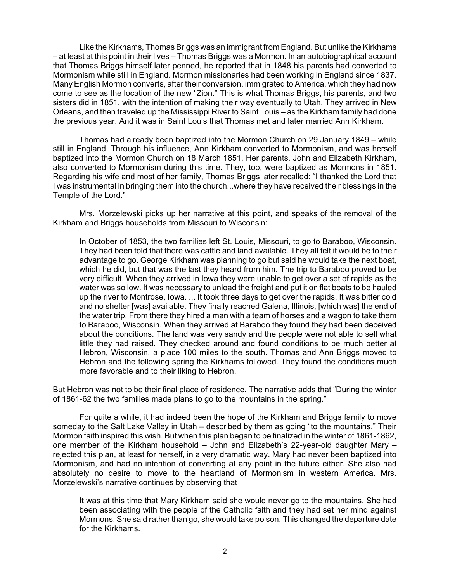Like the Kirkhams, Thomas Briggs was an immigrant from England. But unlike the Kirkhams – at least at this point in their lives – Thomas Briggs was a Mormon. In an autobiographical account that Thomas Briggs himself later penned, he reported that in 1848 his parents had converted to Mormonism while still in England. Mormon missionaries had been working in England since 1837. Many English Mormon converts, after their conversion, immigrated to America, which they had now come to see as the location of the new "Zion." This is what Thomas Briggs, his parents, and two sisters did in 1851, with the intention of making their way eventually to Utah. They arrived in New Orleans, and then traveled up the Mississippi River to Saint Louis – as the Kirkham family had done the previous year. And it was in Saint Louis that Thomas met and later married Ann Kirkham.

Thomas had already been baptized into the Mormon Church on 29 January 1849 – while still in England. Through his influence, Ann Kirkham converted to Mormonism, and was herself baptized into the Mormon Church on 18 March 1851. Her parents, John and Elizabeth Kirkham, also converted to Mormonism during this time. They, too, were baptized as Mormons in 1851. Regarding his wife and most of her family, Thomas Briggs later recalled: "I thanked the Lord that I was instrumental in bringing them into the church...where they have received their blessings in the Temple of the Lord."

Mrs. Morzelewski picks up her narrative at this point, and speaks of the removal of the Kirkham and Briggs households from Missouri to Wisconsin:

In October of 1853, the two families left St. Louis, Missouri, to go to Baraboo, Wisconsin. They had been told that there was cattle and land available. They all felt it would be to their advantage to go. George Kirkham was planning to go but said he would take the next boat, which he did, but that was the last they heard from him. The trip to Baraboo proved to be very difficult. When they arrived in Iowa they were unable to get over a set of rapids as the water was so low. It was necessary to unload the freight and put it on flat boats to be hauled up the river to Montrose, Iowa. ... It took three days to get over the rapids. It was bitter cold and no shelter [was] available. They finally reached Galena, Illinois, [which was] the end of the water trip. From there they hired a man with a team of horses and a wagon to take them to Baraboo, Wisconsin. When they arrived at Baraboo they found they had been deceived about the conditions. The land was very sandy and the people were not able to sell what little they had raised. They checked around and found conditions to be much better at Hebron, Wisconsin, a place 100 miles to the south. Thomas and Ann Briggs moved to Hebron and the following spring the Kirkhams followed. They found the conditions much more favorable and to their liking to Hebron.

But Hebron was not to be their final place of residence. The narrative adds that "During the winter of 1861-62 the two families made plans to go to the mountains in the spring."

For quite a while, it had indeed been the hope of the Kirkham and Briggs family to move someday to the Salt Lake Valley in Utah – described by them as going "to the mountains." Their Mormon faith inspired this wish. But when this plan began to be finalized in the winter of 1861-1862, one member of the Kirkham household – John and Elizabeth's 22-year-old daughter Mary – rejected this plan, at least for herself, in a very dramatic way. Mary had never been baptized into Mormonism, and had no intention of converting at any point in the future either. She also had absolutely no desire to move to the heartland of Mormonism in western America. Mrs. Morzelewski's narrative continues by observing that

It was at this time that Mary Kirkham said she would never go to the mountains. She had been associating with the people of the Catholic faith and they had set her mind against Mormons. She said rather than go, she would take poison. This changed the departure date for the Kirkhams.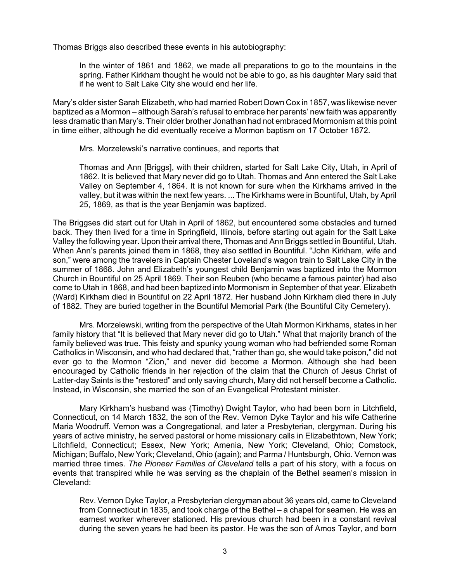Thomas Briggs also described these events in his autobiography:

In the winter of 1861 and 1862, we made all preparations to go to the mountains in the spring. Father Kirkham thought he would not be able to go, as his daughter Mary said that if he went to Salt Lake City she would end her life.

Mary's older sister Sarah Elizabeth, who had married Robert Down Cox in 1857, was likewise never baptized as a Mormon – although Sarah's refusal to embrace her parents' new faith was apparently less dramatic than Mary's. Their older brother Jonathan had not embraced Mormonism at this point in time either, although he did eventually receive a Mormon baptism on 17 October 1872.

Mrs. Morzelewski's narrative continues, and reports that

Thomas and Ann [Briggs], with their children, started for Salt Lake City, Utah, in April of 1862. It is believed that Mary never did go to Utah. Thomas and Ann entered the Salt Lake Valley on September 4, 1864. It is not known for sure when the Kirkhams arrived in the valley, but it was within the next few years. ... The Kirkhams were in Bountiful, Utah, by April 25, 1869, as that is the year Benjamin was baptized.

The Briggses did start out for Utah in April of 1862, but encountered some obstacles and turned back. They then lived for a time in Springfield, Illinois, before starting out again for the Salt Lake Valley the following year. Upon their arrival there, Thomas and Ann Briggs settled in Bountiful, Utah. When Ann's parents joined them in 1868, they also settled in Bountiful. "John Kirkham, wife and son," were among the travelers in Captain Chester Loveland's wagon train to Salt Lake City in the summer of 1868. John and Elizabeth's youngest child Benjamin was baptized into the Mormon Church in Bountiful on 25 April 1869. Their son Reuben (who became a famous painter) had also come to Utah in 1868, and had been baptized into Mormonism in September of that year. Elizabeth (Ward) Kirkham died in Bountiful on 22 April 1872. Her husband John Kirkham died there in July of 1882. They are buried together in the Bountiful Memorial Park (the Bountiful City Cemetery).

Mrs. Morzelewski, writing from the perspective of the Utah Mormon Kirkhams, states in her family history that "It is believed that Mary never did go to Utah." What that majority branch of the family believed was true. This feisty and spunky young woman who had befriended some Roman Catholics in Wisconsin, and who had declared that, "rather than go, she would take poison," did not ever go to the Mormon "Zion," and never did become a Mormon. Although she had been encouraged by Catholic friends in her rejection of the claim that the Church of Jesus Christ of Latter-day Saints is the "restored" and only saving church, Mary did not herself become a Catholic. Instead, in Wisconsin, she married the son of an Evangelical Protestant minister.

Mary Kirkham's husband was (Timothy) Dwight Taylor, who had been born in Litchfield, Connecticut, on 14 March 1832, the son of the Rev. Vernon Dyke Taylor and his wife Catherine Maria Woodruff. Vernon was a Congregational, and later a Presbyterian, clergyman. During his years of active ministry, he served pastoral or home missionary calls in Elizabethtown, New York; Litchfield, Connecticut; Essex, New York; Amenia, New York; Cleveland, Ohio; Comstock, Michigan; Buffalo, New York; Cleveland, Ohio (again); and Parma / Huntsburgh, Ohio. Vernon was married three times. *The Pioneer Families of Cleveland* tells a part of his story, with a focus on events that transpired while he was serving as the chaplain of the Bethel seamen's mission in Cleveland:

Rev. Vernon Dyke Taylor, a Presbyterian clergyman about 36 years old, came to Cleveland from Connecticut in 1835, and took charge of the Bethel – a chapel for seamen. He was an earnest worker wherever stationed. His previous church had been in a constant revival during the seven years he had been its pastor. He was the son of Amos Taylor, and born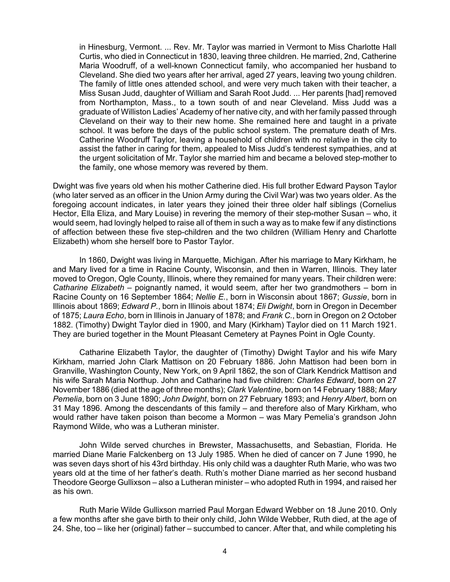in Hinesburg, Vermont. ... Rev. Mr. Taylor was married in Vermont to Miss Charlotte Hall Curtis, who died in Connecticut in 1830, leaving three children. He married, 2nd, Catherine Maria Woodruff, of a well-known Connecticut family, who accompanied her husband to Cleveland. She died two years after her arrival, aged 27 years, leaving two young children. The family of little ones attended school, and were very much taken with their teacher, a Miss Susan Judd, daughter of William and Sarah Root Judd. ... Her parents [had] removed from Northampton, Mass., to a town south of and near Cleveland. Miss Judd was a graduate of Williston Ladies' Academy of her native city, and with her family passed through Cleveland on their way to their new home. She remained here and taught in a private school. It was before the days of the public school system. The premature death of Mrs. Catherine Woodruff Taylor, leaving a household of children with no relative in the city to assist the father in caring for them, appealed to Miss Judd's tenderest sympathies, and at the urgent solicitation of Mr. Taylor she married him and became a beloved step-mother to the family, one whose memory was revered by them.

Dwight was five years old when his mother Catherine died. His full brother Edward Payson Taylor (who later served as an officer in the Union Army during the Civil War) was two years older. As the foregoing account indicates, in later years they joined their three older half siblings (Cornelius Hector, Ella Eliza, and Mary Louise) in revering the memory of their step-mother Susan – who, it would seem, had lovingly helped to raise all of them in such a way as to make few if any distinctions of affection between these five step-children and the two children (William Henry and Charlotte Elizabeth) whom she herself bore to Pastor Taylor.

In 1860, Dwight was living in Marquette, Michigan. After his marriage to Mary Kirkham, he and Mary lived for a time in Racine County, Wisconsin, and then in Warren, Illinois. They later moved to Oregon, Ogle County, Illinois, where they remained for many years. Their children were: *Catharine Elizabeth* – poignantly named, it would seem, after her two grandmothers – born in Racine County on 16 September 1864; *Nellie E.*, born in Wisconsin about 1867; *Gussie*, born in Illinois about 1869; *Edward P.*, born in Illinois about 1874; *Eli Dwight*, born in Oregon in December of 1875; *Laura Echo*, born in Illinois in January of 1878; and *Frank C.*, born in Oregon on 2 October 1882. (Timothy) Dwight Taylor died in 1900, and Mary (Kirkham) Taylor died on 11 March 1921. They are buried together in the Mount Pleasant Cemetery at Paynes Point in Ogle County.

Catharine Elizabeth Taylor, the daughter of (Timothy) Dwight Taylor and his wife Mary Kirkham, married John Clark Mattison on 20 February 1886. John Mattison had been born in Granville, Washington County, New York, on 9 April 1862, the son of Clark Kendrick Mattison and his wife Sarah Maria Northup. John and Catharine had five children: *Charles Edward*, born on 27 November 1886 (died at the age of three months); *Clark Valentine*, born on 14 February 1888; *Mary Pemelia*, born on 3 June 1890; *John Dwight*, born on 27 February 1893; and *Henry Albert*, born on 31 May 1896. Among the descendants of this family – and therefore also of Mary Kirkham, who would rather have taken poison than become a Mormon – was Mary Pemelia's grandson John Raymond Wilde, who was a Lutheran minister.

John Wilde served churches in Brewster, Massachusetts, and Sebastian, Florida. He married Diane Marie Falckenberg on 13 July 1985. When he died of cancer on 7 June 1990, he was seven days short of his 43rd birthday. His only child was a daughter Ruth Marie, who was two years old at the time of her father's death. Ruth's mother Diane married as her second husband Theodore George Gullixson – also a Lutheran minister – who adopted Ruth in 1994, and raised her as his own.

Ruth Marie Wilde Gullixson married Paul Morgan Edward Webber on 18 June 2010. Only a few months after she gave birth to their only child, John Wilde Webber, Ruth died, at the age of 24. She, too – like her (original) father – succumbed to cancer. After that, and while completing his